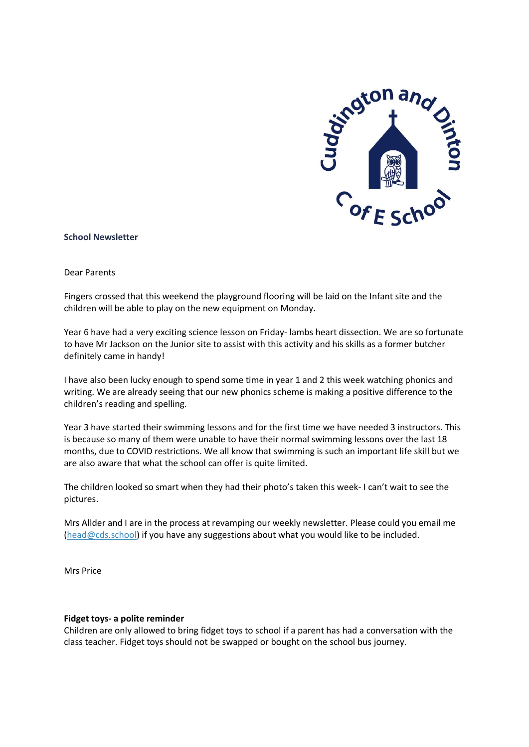

#### **School Newsletter**

Dear Parents

Fingers crossed that this weekend the playground flooring will be laid on the Infant site and the children will be able to play on the new equipment on Monday.

Year 6 have had a very exciting science lesson on Friday- lambs heart dissection. We are so fortunate to have Mr Jackson on the Junior site to assist with this activity and his skills as a former butcher definitely came in handy!

I have also been lucky enough to spend some time in year 1 and 2 this week watching phonics and writing. We are already seeing that our new phonics scheme is making a positive difference to the children's reading and spelling.

Year 3 have started their swimming lessons and for the first time we have needed 3 instructors. This is because so many of them were unable to have their normal swimming lessons over the last 18 months, due to COVID restrictions. We all know that swimming is such an important life skill but we are also aware that what the school can offer is quite limited.

The children looked so smart when they had their photo's taken this week- I can't wait to see the pictures.

Mrs Allder and I are in the process at revamping our weekly newsletter. Please could you email me [\(head@cds.school\)](mailto:head@cds.school) if you have any suggestions about what you would like to be included.

Mrs Price

#### **Fidget toys- a polite reminder**

Children are only allowed to bring fidget toys to school if a parent has had a conversation with the class teacher. Fidget toys should not be swapped or bought on the school bus journey.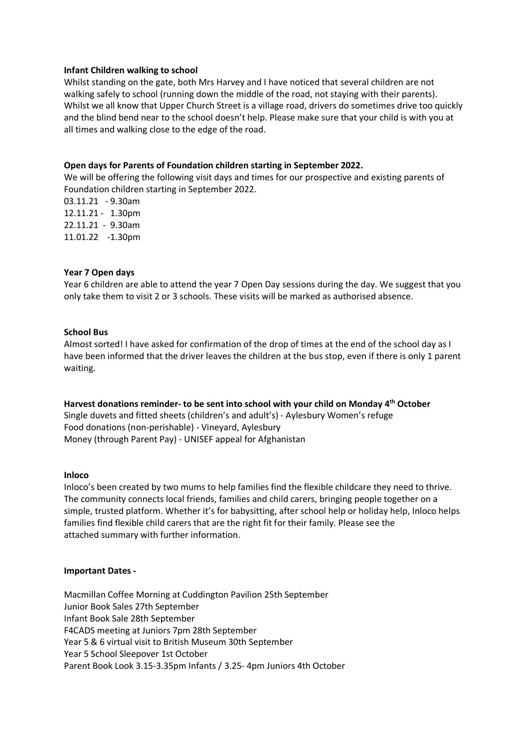#### **Infant Children walking to school**

Whilst standing on the gate, both Mrs Harvey and I have noticed that several children are not walking safely to school (running down the middle of the road, not staying with their parents). Whilst we all know that Upper Church Street is a village road, drivers do sometimes drive too quickly and the blind bend near to the school doesn't help. Please make sure that your child is with you at all times and walking close to the edge of the road.

# **Open days for Parents of Foundation children starting in September 2022.**

We will be offering the following visit days and times for our prospective and existing parents of Foundation children starting in September 2022.

03.11.21 - 9.30am 12.11.21 - 1.30pm 22.11.21 - 9.30am 11.01.22 -1.30pm

# **Year 7 Open days**

Year 6 children are able to attend the year 7 Open Day sessions during the day. We suggest that you only take them to visit 2 or 3 schools. These visits will be marked as authorised absence.

# **School Bus**

Almost sorted! I have asked for confirmation of the drop of times at the end of the school day as I have been informed that the driver leaves the children at the bus stop, even if there is only 1 parent waiting.

**Harvest donations reminder- to be sent into school with your child on Monday 4 th October** Single duvets and fitted sheets (children's and adult's) - Aylesbury Women's refuge Food donations (non-perishable) - Vineyard, Aylesbury Money (through Parent Pay) - UNISEF appeal for Afghanistan

# **Inloco**

Inloco's been created by two mums to help families find the flexible childcare they need to thrive. The community connects local friends, families and child carers, bringing people together on a simple, trusted platform. Whether it's for babysitting, after school help or holiday help, Inloco helps families find flexible child carers that are the right fit for their family. Please see the attached summary with further information.

# **Important Dates -**

Macmillan Coffee Morning at Cuddington Pavilion 25th September Junior Book Sales 27th September Infant Book Sale 28th September F4CADS meeting at Juniors 7pm 28th September Year 5 & 6 virtual visit to British Museum 30th September Year 5 School Sleepover 1st October Parent Book Look 3.15-3.35pm Infants / 3.25- 4pm Juniors 4th October